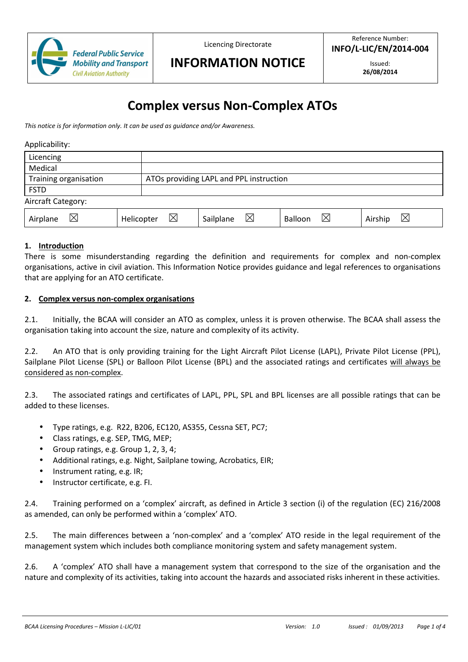

Licencing Directorate

**INFORMATION NOTICE**

Issued: **26/08/2014** 

# **Complex versus Non-Complex ATOs**

*This notice is for information only. It can be used as guidance and/or Awareness.* 

Applicability:

| Licencing             |                           |                                         |              |                        |
|-----------------------|---------------------------|-----------------------------------------|--------------|------------------------|
| Medical               |                           |                                         |              |                        |
| Training organisation |                           | ATOs providing LAPL and PPL instruction |              |                        |
| <b>FSTD</b>           |                           |                                         |              |                        |
| Aircraft Category:    |                           |                                         |              |                        |
| $\times$<br>Airplane  | $\boxtimes$<br>Helicopter | ⊠<br>Sailplane                          | ⊠<br>Balloon | $\boxtimes$<br>Airship |

# **1. Introduction**

There is some misunderstanding regarding the definition and requirements for complex and non-complex organisations, active in civil aviation. This Information Notice provides guidance and legal references to organisations that are applying for an ATO certificate.

#### **2. Complex versus non-complex organisations**

2.1. Initially, the BCAA will consider an ATO as complex, unless it is proven otherwise. The BCAA shall assess the organisation taking into account the size, nature and complexity of its activity.

2.2. An ATO that is only providing training for the Light Aircraft Pilot License (LAPL), Private Pilot License (PPL), Sailplane Pilot License (SPL) or Balloon Pilot License (BPL) and the associated ratings and certificates will always be considered as non-complex.

2.3. The associated ratings and certificates of LAPL, PPL, SPL and BPL licenses are all possible ratings that can be added to these licenses.

- Type ratings, e.g. R22, B206, EC120, AS355, Cessna SET, PC7;
- Class ratings, e.g. SEP, TMG, MEP;
- Group ratings, e.g. Group 1, 2, 3, 4;
- Additional ratings, e.g. Night, Sailplane towing, Acrobatics, EIR;
- Instrument rating, e.g. IR;
- Instructor certificate, e.g. FI.

2.4. Training performed on a 'complex' aircraft, as defined in Article 3 section (i) of the regulation (EC) 216/2008 as amended, can only be performed within a 'complex' ATO.

2.5. The main differences between a 'non-complex' and a 'complex' ATO reside in the legal requirement of the management system which includes both compliance monitoring system and safety management system.

2.6. A 'complex' ATO shall have a management system that correspond to the size of the organisation and the nature and complexity of its activities, taking into account the hazards and associated risks inherent in these activities.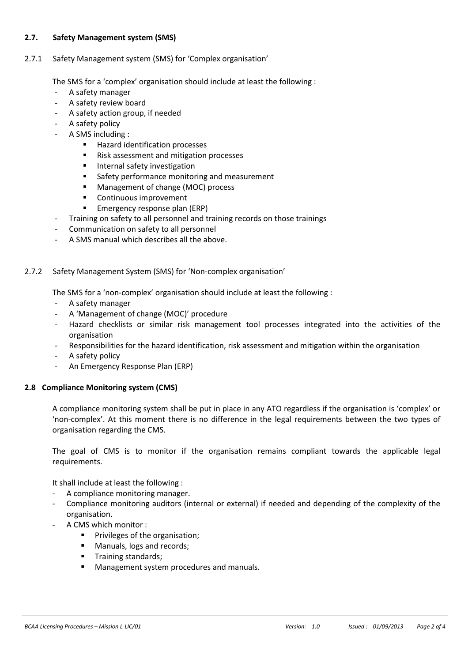# **2.7. Safety Management system (SMS)**

#### 2.7.1 Safety Management system (SMS) for 'Complex organisation'

The SMS for a 'complex' organisation should include at least the following :

- A safety manager
- A safety review board
- A safety action group, if needed
- A safety policy
- A SMS including :
	- Hazard identification processes
	- Risk assessment and mitigation processes
	- **Internal safety investigation**
	- **Safety performance monitoring and measurement**
	- **Management of change (MOC) process**
	- Continuous improvement
	- **Emergency response plan (ERP)**
- Training on safety to all personnel and training records on those trainings
- Communication on safety to all personnel
- A SMS manual which describes all the above.

### 2.7.2 Safety Management System (SMS) for 'Non-complex organisation'

The SMS for a 'non-complex' organisation should include at least the following :

- A safety manager
- A 'Management of change (MOC)' procedure
- Hazard checklists or similar risk management tool processes integrated into the activities of the organisation
- Responsibilities for the hazard identification, risk assessment and mitigation within the organisation
- A safety policy
- An Emergency Response Plan (ERP)

#### **2.8 Compliance Monitoring system (CMS)**

A compliance monitoring system shall be put in place in any ATO regardless if the organisation is 'complex' or 'non-complex'. At this moment there is no difference in the legal requirements between the two types of organisation regarding the CMS.

The goal of CMS is to monitor if the organisation remains compliant towards the applicable legal requirements.

It shall include at least the following :

- A compliance monitoring manager.
- Compliance monitoring auditors (internal or external) if needed and depending of the complexity of the organisation.
- A CMS which monitor :
	- Privileges of the organisation;
	- **Manuals, logs and records;**
	- Training standards;
	- Management system procedures and manuals.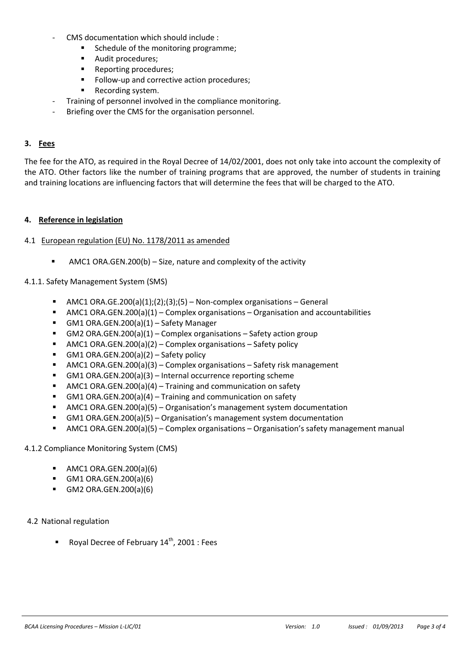- CMS documentation which should include :
	- Schedule of the monitoring programme;
	- **Audit procedures;**
	- Reporting procedures;
	- Follow-up and corrective action procedures;
	- **Recording system.**
- Training of personnel involved in the compliance monitoring.
- Briefing over the CMS for the organisation personnel.

#### **3. Fees**

The fee for the ATO, as required in the Royal Decree of 14/02/2001, does not only take into account the complexity of the ATO. Other factors like the number of training programs that are approved, the number of students in training and training locations are influencing factors that will determine the fees that will be charged to the ATO.

#### **4. Reference in legislation**

#### 4.1 European regulation (EU) No. 1178/2011 as amended

AMC1 ORA.GEN.200(b) – Size, nature and complexity of the activity

#### 4.1.1. Safety Management System (SMS)

- $\blacksquare$  AMC1 ORA.GE.200(a)(1);(2);(3);(5) Non-complex organisations General
- $\blacksquare$  AMC1 ORA.GEN.200(a)(1) Complex organisations Organisation and accountabilities
- GM1 ORA.GEN.200(a)(1) Safety Manager
- GM2 ORA.GEN.200(a)(1) Complex organisations Safety action group
- $\blacksquare$  AMC1 ORA.GEN.200(a)(2) Complex organisations Safety policy
- GM1 ORA.GEN.200(a) $(2)$  Safety policy
- AMC1 ORA.GEN.200(a)(3) Complex organisations Safety risk management
- GM1 ORA.GEN.200(a)(3) Internal occurrence reporting scheme
- AMC1 ORA.GEN.200(a)(4) Training and communication on safety
- GM1 ORA.GEN.200(a)(4) Training and communication on safety
- AMC1 ORA.GEN.200(a)(5) Organisation's management system documentation
- GM1 ORA.GEN.200(a)(5) Organisation's management system documentation
- AMC1 ORA.GEN.200(a)(5) Complex organisations Organisation's safety management manual

#### 4.1.2 Compliance Monitoring System (CMS)

- $\blacksquare$  AMC1 ORA.GEN.200(a)(6)
- GM1 ORA.GEN.200(a)(6)
- GM2 ORA.GEN.200(a)(6)

# 4.2 National regulation

Royal Decree of February 14<sup>th</sup>, 2001 : Fees